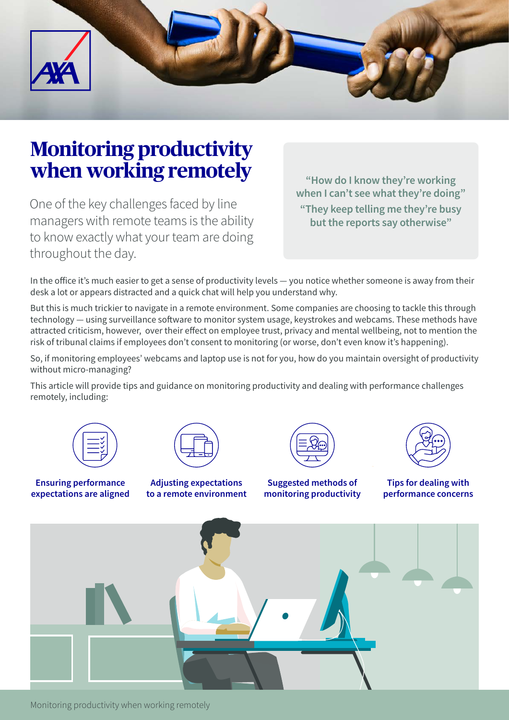

# **Monitoring productivity when working remotely**

One of the key challenges faced by line managers with remote teams is the ability to know exactly what your team are doing throughout the day.

**"How do I know they're working when I can't see what they're doing" "They keep telling me they're busy but the reports say otherwise"**

In the office it's much easier to get a sense of productivity levels — you notice whether someone is away from their desk a lot or appears distracted and a quick chat will help you understand why.

But this is much trickier to navigate in a remote environment. Some companies are choosing to tackle this through technology — using surveillance software to monitor system usage, keystrokes and webcams. These methods have attracted criticism, however, over their effect on employee trust, privacy and mental wellbeing, not to mention the risk of tribunal claims if employees don't consent to monitoring (or worse, don't even know it's happening).

So, if monitoring employees' webcams and laptop use is not for you, how do you maintain oversight of productivity without micro-managing?

This article will provide tips and guidance on monitoring productivity and dealing with performance challenges remotely, including:



**Ensuring performance expectations are aligned**



**Adjusting expectations to a remote environment**





**Suggested methods of monitoring productivity**

**Tips for dealing with performance concerns**



Monitoring productivity when working remotely 1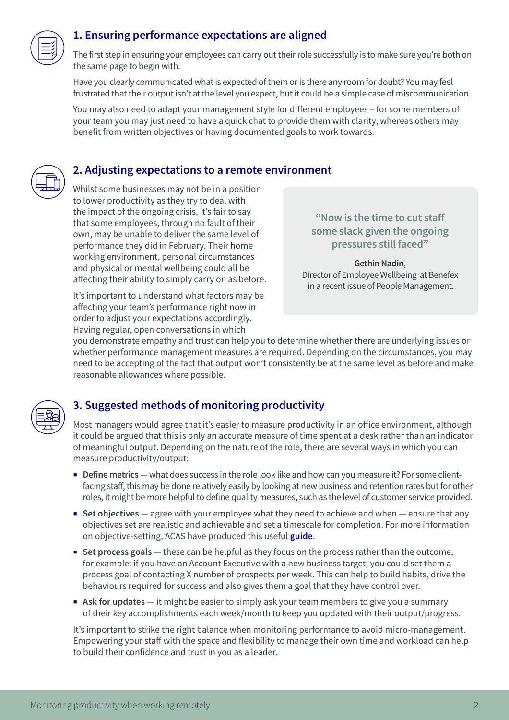

## **1. Ensuring performance expectations are aligned**

The first step in ensuring your employees can carry out their role successfully is to make sure you're both on the same page to begin with.

Have you clearly communicated what is expected of them or is there any room for doubt? You may feel frustrated that their output isn't at the level you expect, but it could be a simple case of miscommunication.

You may also need to adapt your management style for different employees – for some members of your team you may just need to have a quick chat to provide them with clarity, whereas others may benefit from written objectives or having documented goals to work towards.

## **2. Adjusting expectations to a remote environment**

Whilst some businesses may not be in a position to lower productivity as they try to deal with the impact of the ongoing crisis, it's fair to say that some employees, through no fault of their own, may be unable to deliver the same level of performance they did in February. Their home working environment, personal circumstances and physical or mental wellbeing could all be affecting their ability to simply carry on as before.

It's important to understand what factors may be affecting your team's performance right now in order to adjust your expectations accordingly. Having regular, open conversations in which

#### **"Now is the time to cut staff some slack given the ongoing pressures still faced"**

**Gethin Nadin**, Director of Employee Wellbeing at Benefex in a recent issue of People Management.

you demonstrate empathy and trust can help you to determine whether there are underlying issues or whether performance management measures are required. Depending on the circumstances, you may need to be accepting of the fact that output won't consistently be at the same level as before and make reasonable allowances where possible.



# **3. Suggested methods of monitoring productivity**

Most managers would agree that it's easier to measure productivity in an office environment, although it could be argued that this is only an accurate measure of time spent at a desk rather than an indicator of meaningful output. Depending on the nature of the role, there are several ways in which you can measure productivity/output:

- **Define metrics** what does success in the role look like and how can you measure it? For some clientfacing staff, this may be done relatively easily by looking at new business and retention rates but for other roles, it might be more helpful to define quality measures, such as the level of customer service provided.
- Set objectives agree with your employee what they need to achieve and when ensure that any objectives set are realistic and achievable and set a timescale for completion. For more information on objective-setting, ACAS have produced this useful **[guide](https://archive.acas.org.uk/media/6053/Tips-for-setting-SMART-performance-objectives/doc/Tips_for_setting_SMART_performance_objectives.docx)**.
- **Set process goals** these can be helpful as they focus on the process rather than the outcome, for example: if you have an Account Executive with a new business target, you could set them a process goal of contacting X number of prospects per week. This can help to build habits, drive the behaviours required for success and also gives them a goal that they have control over.
- **Example 15 Ask for updates** it might be easier to simply ask your team members to give you a summary of their key accomplishments each week/month to keep you updated with their output/progress.

It's important to strike the right balance when monitoring performance to avoid micro-management. Empowering your staff with the space and flexibility to manage their own time and workload can help to build their confidence and trust in you as a leader.